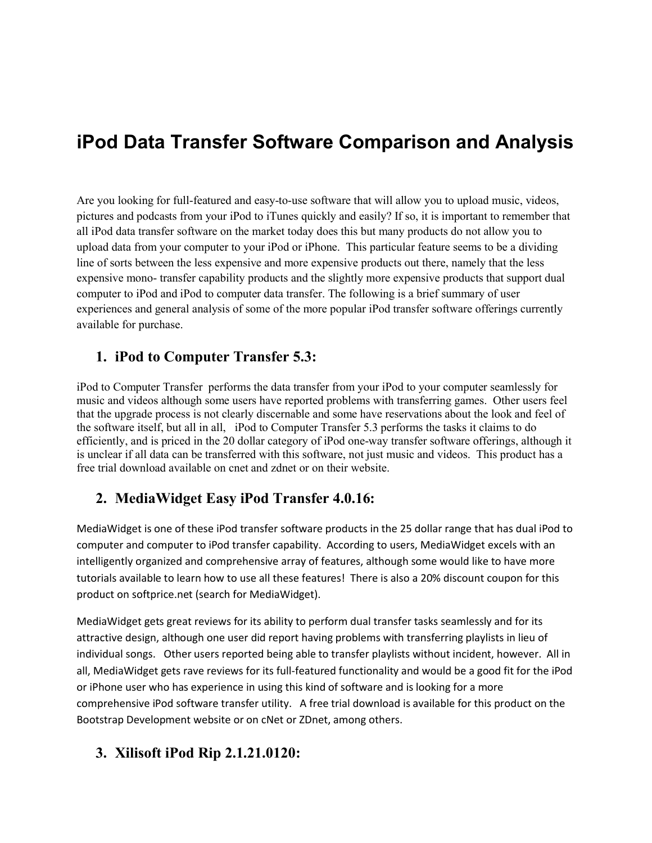# **iPod Data Transfer Software Comparison and Analysis**

Are you looking for full-featured and easy-to-use software that will allow you to upload music, videos, pictures and podcasts from your iPod to iTunes quickly and easily? If so, it is important to remember that all iPod data transfer software on the market today does this but many products do not allow you to upload data from your computer to your iPod or iPhone. This particular feature seems to be a dividing line of sorts between the less expensive and more expensive products out there, namely that the less expensive mono- transfer capability products and the slightly more expensive products that support dual computer to iPod and iPod to computer data transfer. The following is a brief summary of user experiences and general analysis of some of the more popular iPod transfer software offerings currently available for purchase.

#### **1. iPod to Computer Transfer 5.3:**

iPod to Computer Transfer performs the data transfer from your iPod to your computer seamlessly for music and videos although some users have reported problems with transferring games. Other users feel that the upgrade process is not clearly discernable and some have reservations about the look and feel of the software itself, but all in all, iPod to Computer Transfer 5.3 performs the tasks it claims to do efficiently, and is priced in the 20 dollar category of iPod one-way transfer software offerings, although it is unclear if all data can be transferred with this software, not just music and videos. This product has a free trial download available on cnet and zdnet or on their website.

#### **2. MediaWidget Easy iPod Transfer 4.0.16:**

MediaWidget is one of these iPod transfer software products in the 25 dollar range that has dual iPod to computer and computer to iPod transfer capability. According to users, MediaWidget excels with an intelligently organized and comprehensive array of features, although some would like to have more tutorials available to learn how to use all these features! There is also a 20% discount coupon for this product on softprice.net (search for MediaWidget).

MediaWidget gets great reviews for its ability to perform dual transfer tasks seamlessly and for its attractive design, although one user did report having problems with transferring playlists in lieu of individual songs. Other users reported being able to transfer playlists without incident, however. All in all, MediaWidget gets rave reviews for its full-featured functionality and would be a good fit for the iPod or iPhone user who has experience in using this kind of software and is looking for a more comprehensive iPod software transfer utility. A free trial download is available for this product on the Bootstrap Development website or on cNet or ZDnet, among others.

#### **3. Xilisoft iPod Rip 2.1.21.0120:**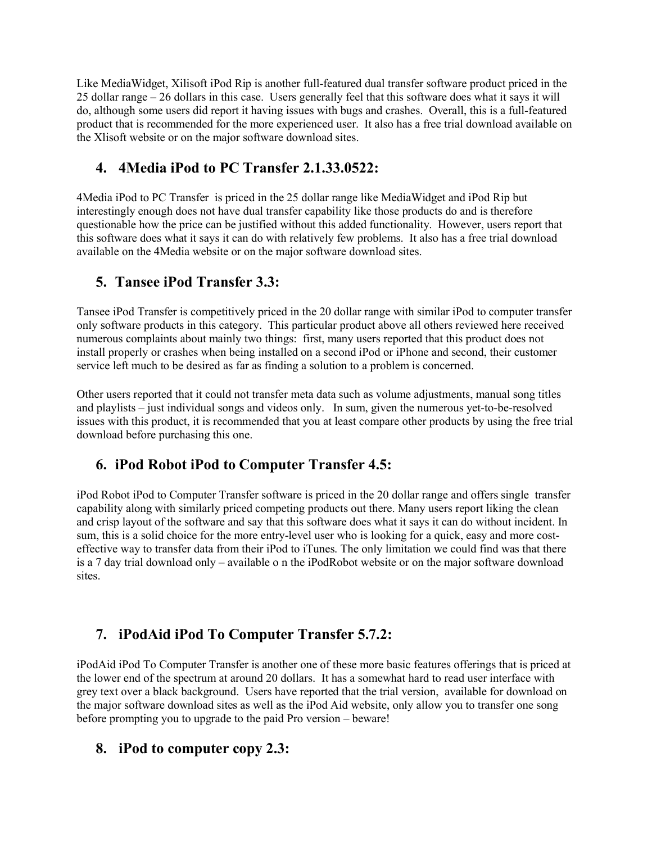Like MediaWidget, Xilisoft iPod Rip is another full-featured dual transfer software product priced in the 25 dollar range – 26 dollars in this case. Users generally feel that this software does what it says it will do, although some users did report it having issues with bugs and crashes. Overall, this is a full-featured product that is recommended for the more experienced user. It also has a free trial download available on the Xlisoft website or on the major software download sites.

## **4. 4Media iPod to PC Transfer 2.1.33.0522:**

4Media iPod to PC Transfer is priced in the 25 dollar range like MediaWidget and iPod Rip but interestingly enough does not have dual transfer capability like those products do and is therefore questionable how the price can be justified without this added functionality. However, users report that this software does what it says it can do with relatively few problems. It also has a free trial download available on the 4Media website or on the major software download sites.

## **5. Tansee iPod Transfer 3.3:**

Tansee iPod Transfer is competitively priced in the 20 dollar range with similar iPod to computer transfer only software products in this category. This particular product above all others reviewed here received numerous complaints about mainly two things: first, many users reported that this product does not install properly or crashes when being installed on a second iPod or iPhone and second, their customer service left much to be desired as far as finding a solution to a problem is concerned.

Other users reported that it could not transfer meta data such as volume adjustments, manual song titles and playlists – just individual songs and videos only. In sum, given the numerous yet-to-be-resolved issues with this product, it is recommended that you at least compare other products by using the free trial download before purchasing this one.

# **6. iPod Robot iPod to Computer Transfer 4.5:**

iPod Robot iPod to Computer Transfer software is priced in the 20 dollar range and offers single transfer capability along with similarly priced competing products out there. Many users report liking the clean and crisp layout of the software and say that this software does what it says it can do without incident. In sum, this is a solid choice for the more entry-level user who is looking for a quick, easy and more costeffective way to transfer data from their iPod to iTunes. The only limitation we could find was that there is a 7 day trial download only – available o n the iPodRobot website or on the major software download sites.

# **7. iPodAid iPod To Computer Transfer 5.7.2:**

iPodAid iPod To Computer Transfer is another one of these more basic features offerings that is priced at the lower end of the spectrum at around 20 dollars. It has a somewhat hard to read user interface with grey text over a black background. Users have reported that the trial version, available for download on the major software download sites as well as the iPod Aid website, only allow you to transfer one song before prompting you to upgrade to the paid Pro version – beware!

#### **8. iPod to computer copy 2.3:**